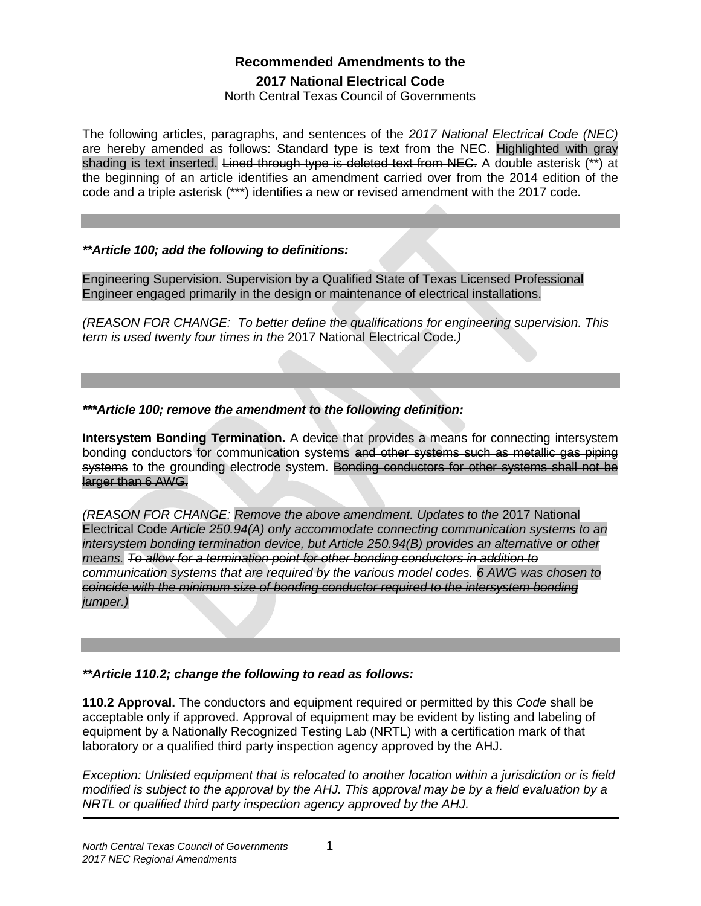# **Recommended Amendments to the 2017 National Electrical Code**

North Central Texas Council of Governments

The following articles, paragraphs, and sentences of the *2017 National Electrical Code (NEC)* are hereby amended as follows: Standard type is text from the NEC. Highlighted with gray shading is text inserted. Lined through type is deleted text from NEC. A double asterisk (\*\*) at the beginning of an article identifies an amendment carried over from the 2014 edition of the code and a triple asterisk (\*\*\*) identifies a new or revised amendment with the 2017 code.

## *\*\*Article 100; add the following to definitions:*

Engineering Supervision. Supervision by a Qualified State of Texas Licensed Professional Engineer engaged primarily in the design or maintenance of electrical installations.

*(REASON FOR CHANGE: To better define the qualifications for engineering supervision. This term is used twenty four times in the* 2017 National Electrical Code*.)*

*\*\*\*Article 100; remove the amendment to the following definition:*

**Intersystem Bonding Termination.** A device that provides a means for connecting intersystem bonding conductors for communication systems and other systems such as metallic gas piping systems to the grounding electrode system. Bonding conductors for other systems shall not be larger than 6 AWG.

*(REASON FOR CHANGE: Remove the above amendment. Updates to the* 2017 National Electrical Code *Article 250.94(A) only accommodate connecting communication systems to an intersystem bonding termination device, but Article 250.94(B) provides an alternative or other means. To allow for a termination point for other bonding conductors in addition to communication systems that are required by the various model codes. 6 AWG was chosen to coincide with the minimum size of bonding conductor required to the intersystem bonding jumper.)*

# *\*\*Article 110.2; change the following to read as follows:*

**110.2 Approval.** The conductors and equipment required or permitted by this *Code* shall be acceptable only if approved. Approval of equipment may be evident by listing and labeling of equipment by a Nationally Recognized Testing Lab (NRTL) with a certification mark of that laboratory or a qualified third party inspection agency approved by the AHJ.

*Exception: Unlisted equipment that is relocated to another location within a jurisdiction or is field modified is subject to the approval by the AHJ. This approval may be by a field evaluation by a NRTL or qualified third party inspection agency approved by the AHJ.*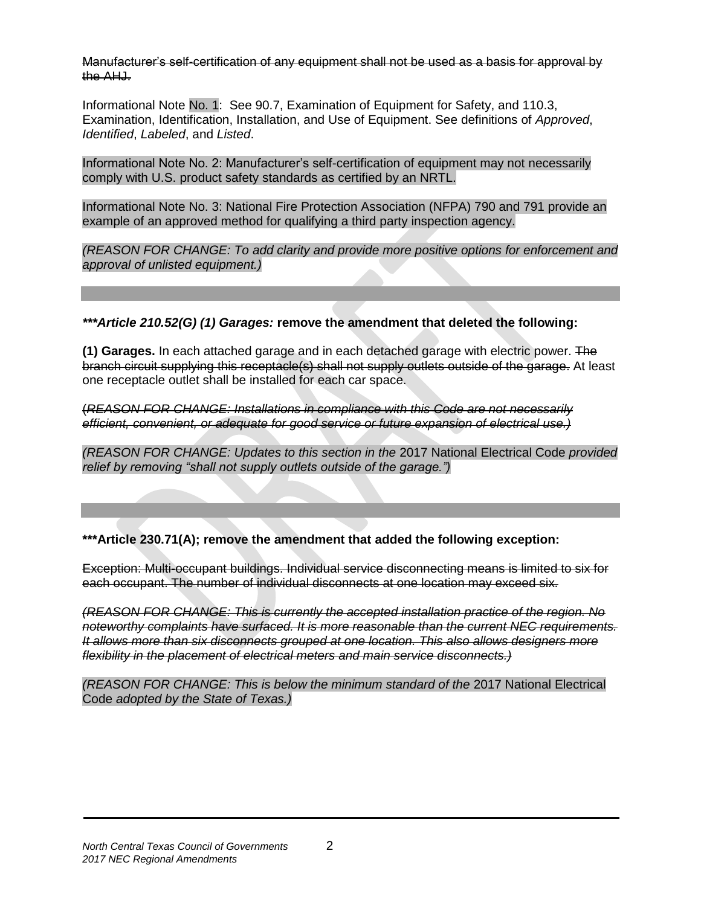Manufacturer's self-certification of any equipment shall not be used as a basis for approval by the AHJ.

Informational Note No. 1: See 90.7, Examination of Equipment for Safety, and 110.3, Examination, Identification, Installation, and Use of Equipment. See definitions of *Approved*, *Identified*, *Labeled*, and *Listed*.

Informational Note No. 2: Manufacturer's self-certification of equipment may not necessarily comply with U.S. product safety standards as certified by an NRTL.

Informational Note No. 3: National Fire Protection Association (NFPA) 790 and 791 provide an example of an approved method for qualifying a third party inspection agency.

*(REASON FOR CHANGE: To add clarity and provide more positive options for enforcement and approval of unlisted equipment.)*

*\*\*\*Article 210.52(G) (1) Garages:* **remove the amendment that deleted the following:**

**(1) Garages.** In each attached garage and in each detached garage with electric power. The branch circuit supplying this receptacle(s) shall not supply outlets outside of the garage. At least one receptacle outlet shall be installed for each car space.

(*REASON FOR CHANGE: Installations in compliance with this Code are not necessarily efficient, convenient, or adequate for good service or future expansion of electrical use.)*

*(REASON FOR CHANGE: Updates to this section in the* 2017 National Electrical Code *provided relief by removing "shall not supply outlets outside of the garage.")*

**\*\*\*Article 230.71(A); remove the amendment that added the following exception:**

Exception: Multi-occupant buildings. Individual service disconnecting means is limited to six for each occupant. The number of individual disconnects at one location may exceed six.

*(REASON FOR CHANGE: This is currently the accepted installation practice of the region. No noteworthy complaints have surfaced. It is more reasonable than the current NEC requirements. It allows more than six disconnects grouped at one location. This also allows designers more flexibility in the placement of electrical meters and main service disconnects.)*

*(REASON FOR CHANGE: This is below the minimum standard of the* 2017 National Electrical Code *adopted by the State of Texas.)*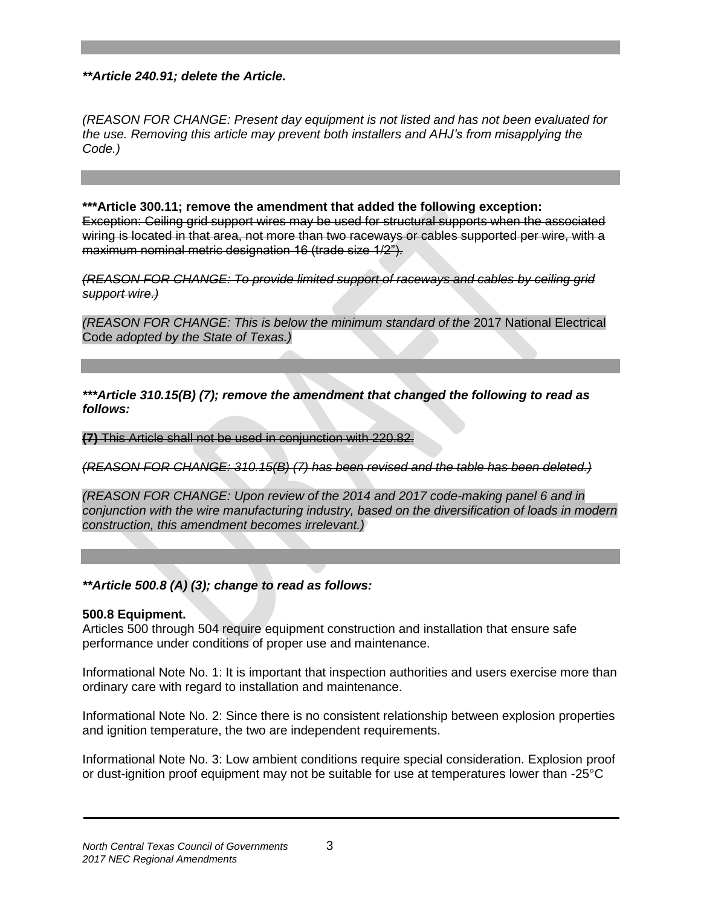*\*\*Article 240.91; delete the Article.* 

*(REASON FOR CHANGE: Present day equipment is not listed and has not been evaluated for the use. Removing this article may prevent both installers and AHJ's from misapplying the Code.)*

**\*\*\*Article 300.11; remove the amendment that added the following exception:**  Exception: Ceiling grid support wires may be used for structural supports when the associated wiring is located in that area, not more than two raceways or cables supported per wire, with a maximum nominal metric designation 16 (trade size 1/2").

*(REASON FOR CHANGE: To provide limited support of raceways and cables by ceiling grid support wire.)*

*(REASON FOR CHANGE: This is below the minimum standard of the* 2017 National Electrical Code *adopted by the State of Texas.)*

*\*\*\*Article 310.15(B) (7); remove the amendment that changed the following to read as follows:*

**(7)** This Article shall not be used in conjunction with 220.82.

*(REASON FOR CHANGE: 310.15(B) (7) has been revised and the table has been deleted.)*

*(REASON FOR CHANGE: Upon review of the 2014 and 2017 code-making panel 6 and in conjunction with the wire manufacturing industry, based on the diversification of loads in modern construction, this amendment becomes irrelevant.)*

*\*\*Article 500.8 (A) (3); change to read as follows:* 

#### **500.8 Equipment.**

Articles 500 through 504 require equipment construction and installation that ensure safe performance under conditions of proper use and maintenance.

Informational Note No. 1: It is important that inspection authorities and users exercise more than ordinary care with regard to installation and maintenance.

Informational Note No. 2: Since there is no consistent relationship between explosion properties and ignition temperature, the two are independent requirements.

Informational Note No. 3: Low ambient conditions require special consideration. Explosion proof or dust-ignition proof equipment may not be suitable for use at temperatures lower than -25°C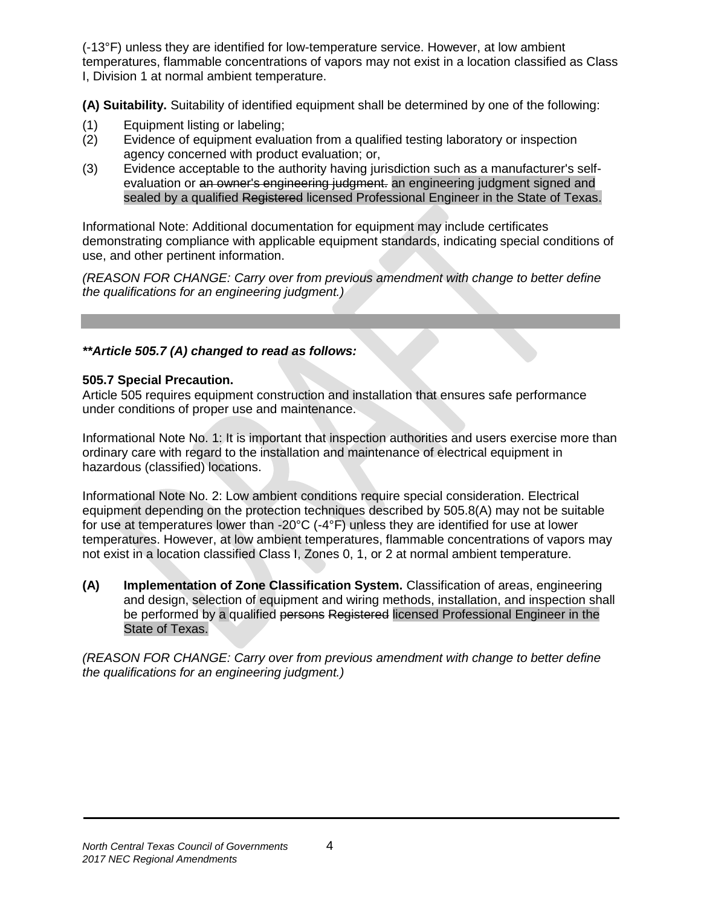(-13°F) unless they are identified for low-temperature service. However, at low ambient temperatures, flammable concentrations of vapors may not exist in a location classified as Class I, Division 1 at normal ambient temperature.

**(A) Suitability.** Suitability of identified equipment shall be determined by one of the following:

- (1) Equipment listing or labeling;
- (2) Evidence of equipment evaluation from a qualified testing laboratory or inspection agency concerned with product evaluation; or,
- (3) Evidence acceptable to the authority having jurisdiction such as a manufacturer's selfevaluation or an owner's engineering judgment. an engineering judgment signed and sealed by a qualified Registered licensed Professional Engineer in the State of Texas.

Informational Note: Additional documentation for equipment may include certificates demonstrating compliance with applicable equipment standards, indicating special conditions of use, and other pertinent information.

*(REASON FOR CHANGE: Carry over from previous amendment with change to better define the qualifications for an engineering judgment.)*

# *\*\*Article 505.7 (A) changed to read as follows:*

## **505.7 Special Precaution.**

Article 505 requires equipment construction and installation that ensures safe performance under conditions of proper use and maintenance.

Informational Note No. 1: It is important that inspection authorities and users exercise more than ordinary care with regard to the installation and maintenance of electrical equipment in hazardous (classified) locations.

Informational Note No. 2: Low ambient conditions require special consideration. Electrical equipment depending on the protection techniques described by 505.8(A) may not be suitable for use at temperatures lower than -20°C (-4°F) unless they are identified for use at lower temperatures. However, at low ambient temperatures, flammable concentrations of vapors may not exist in a location classified Class I, Zones 0, 1, or 2 at normal ambient temperature.

**(A) Implementation of Zone Classification System.** Classification of areas, engineering and design, selection of equipment and wiring methods, installation, and inspection shall be performed by a qualified persons Registered licensed Professional Engineer in the State of Texas.

*(REASON FOR CHANGE: Carry over from previous amendment with change to better define the qualifications for an engineering judgment.)*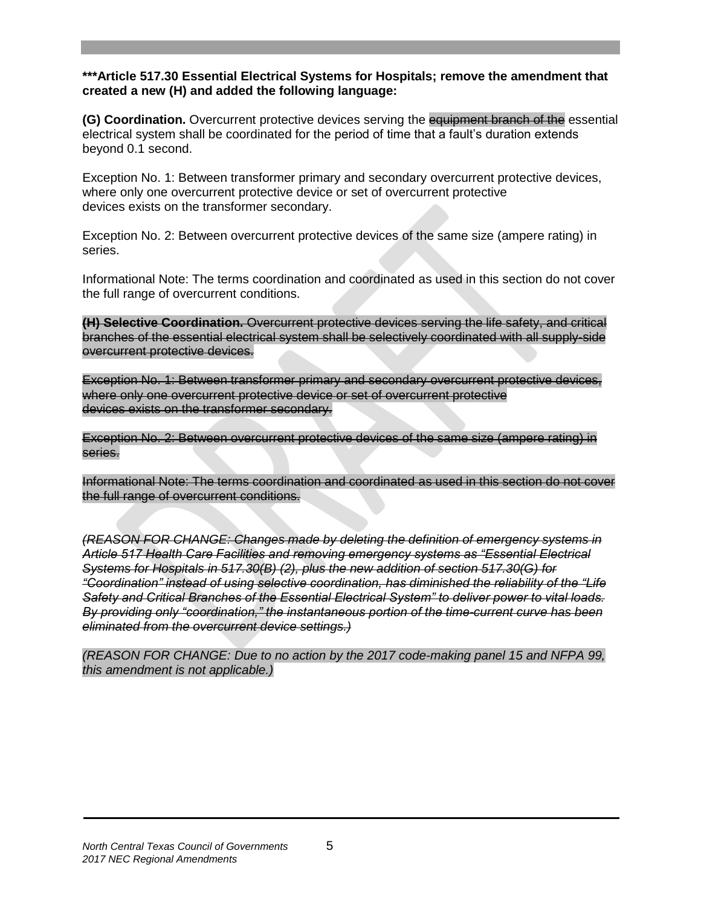### **\*\*\*Article 517.30 Essential Electrical Systems for Hospitals; remove the amendment that created a new (H) and added the following language:**

**(G) Coordination.** Overcurrent protective devices serving the equipment branch of the essential electrical system shall be coordinated for the period of time that a fault's duration extends beyond 0.1 second.

Exception No. 1: Between transformer primary and secondary overcurrent protective devices, where only one overcurrent protective device or set of overcurrent protective devices exists on the transformer secondary.

Exception No. 2: Between overcurrent protective devices of the same size (ampere rating) in series.

Informational Note: The terms coordination and coordinated as used in this section do not cover the full range of overcurrent conditions.

**(H) Selective Coordination.** Overcurrent protective devices serving the life safety, and critical branches of the essential electrical system shall be selectively coordinated with all supply-side overcurrent protective devices.

Exception No. 1: Between transformer primary and secondary overcurrent protective devices, where only one overcurrent protective device or set of overcurrent protective devices exists on the transformer secondary.

Exception No. 2: Between overcurrent protective devices of the same size (ampere rating) in series.

Informational Note: The terms coordination and coordinated as used in this section do not cover the full range of overcurrent conditions.

*(REASON FOR CHANGE: Changes made by deleting the definition of emergency systems in Article 517 Health Care Facilities and removing emergency systems as "Essential Electrical Systems for Hospitals in 517.30(B) (2), plus the new addition of section 517.30(G) for "Coordination" instead of using selective coordination, has diminished the reliability of the "Life Safety and Critical Branches of the Essential Electrical System" to deliver power to vital loads. By providing only "coordination," the instantaneous portion of the time-current curve has been eliminated from the overcurrent device settings.)*

*(REASON FOR CHANGE: Due to no action by the 2017 code-making panel 15 and NFPA 99, this amendment is not applicable.)*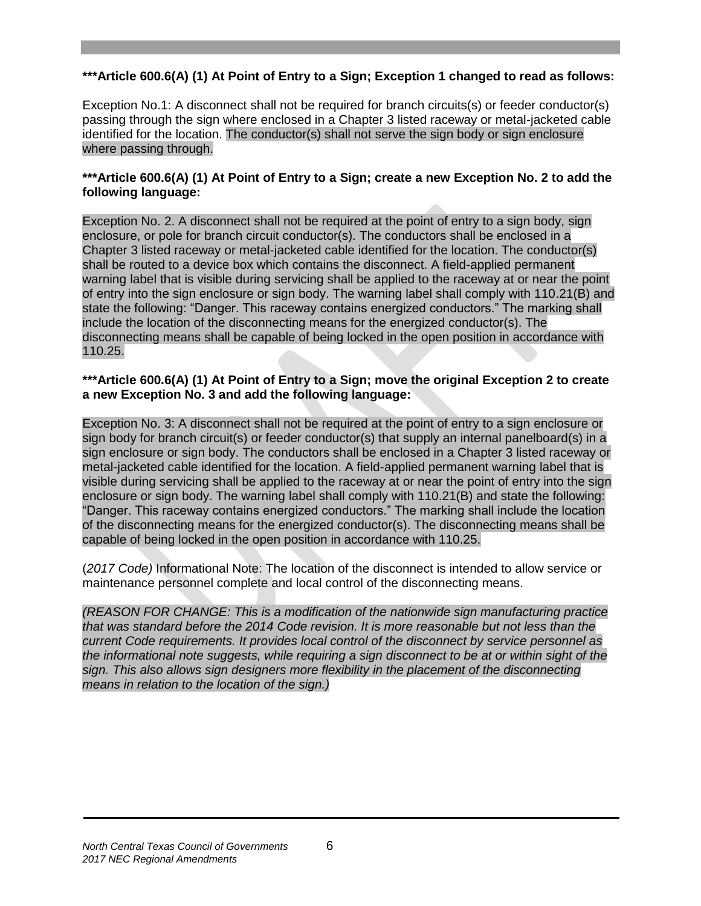# **\*\*\*Article 600.6(A) (1) At Point of Entry to a Sign; Exception 1 changed to read as follows:**

Exception No.1: A disconnect shall not be required for branch circuits(s) or feeder conductor(s) passing through the sign where enclosed in a Chapter 3 listed raceway or metal-jacketed cable identified for the location. The conductor(s) shall not serve the sign body or sign enclosure where passing through.

### **\*\*\*Article 600.6(A) (1) At Point of Entry to a Sign; create a new Exception No. 2 to add the following language:**

Exception No. 2. A disconnect shall not be required at the point of entry to a sign body, sign enclosure, or pole for branch circuit conductor(s). The conductors shall be enclosed in a Chapter 3 listed raceway or metal-jacketed cable identified for the location. The conductor(s) shall be routed to a device box which contains the disconnect. A field-applied permanent warning label that is visible during servicing shall be applied to the raceway at or near the point of entry into the sign enclosure or sign body. The warning label shall comply with 110.21(B) and state the following: "Danger. This raceway contains energized conductors." The marking shall include the location of the disconnecting means for the energized conductor(s). The disconnecting means shall be capable of being locked in the open position in accordance with 110.25.

#### **\*\*\*Article 600.6(A) (1) At Point of Entry to a Sign; move the original Exception 2 to create a new Exception No. 3 and add the following language:**

Exception No. 3: A disconnect shall not be required at the point of entry to a sign enclosure or sign body for branch circuit(s) or feeder conductor(s) that supply an internal panelboard(s) in a sign enclosure or sign body. The conductors shall be enclosed in a Chapter 3 listed raceway or metal-jacketed cable identified for the location. A field-applied permanent warning label that is visible during servicing shall be applied to the raceway at or near the point of entry into the sign enclosure or sign body. The warning label shall comply with 110.21(B) and state the following: "Danger. This raceway contains energized conductors." The marking shall include the location of the disconnecting means for the energized conductor(s). The disconnecting means shall be capable of being locked in the open position in accordance with 110.25.

(*2017 Code)* Informational Note: The location of the disconnect is intended to allow service or maintenance personnel complete and local control of the disconnecting means.

*(REASON FOR CHANGE: This is a modification of the nationwide sign manufacturing practice that was standard before the 2014 Code revision. It is more reasonable but not less than the current Code requirements. It provides local control of the disconnect by service personnel as the informational note suggests, while requiring a sign disconnect to be at or within sight of the sign. This also allows sign designers more flexibility in the placement of the disconnecting means in relation to the location of the sign.)*